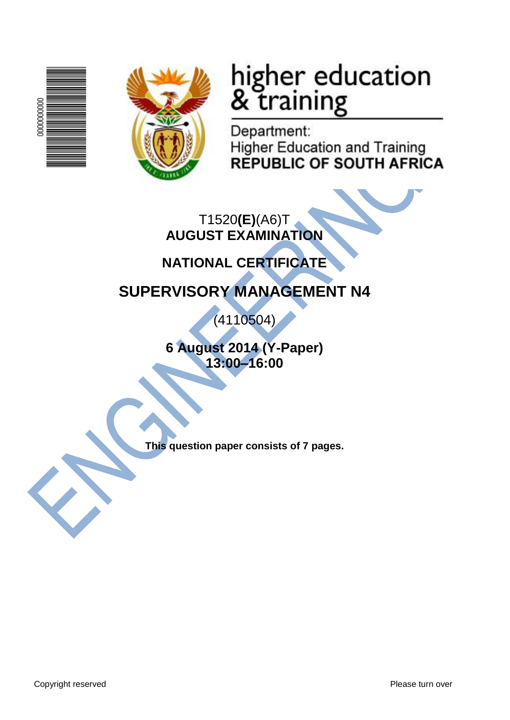



# higher education<br>& training

Department: **Higher Education and Training REPUBLIC OF SOUTH AFRICA** 

T1520**(E)**(A6)T **AUGUST EXAMINATION**

# **NATIONAL CERTIFICATE**

# **SUPERVISORY MANAGEMENT N4**

(4110504)

**6 August 2014 (Y-Paper) 13:00–16:00**

**This question paper consists of 7 pages.**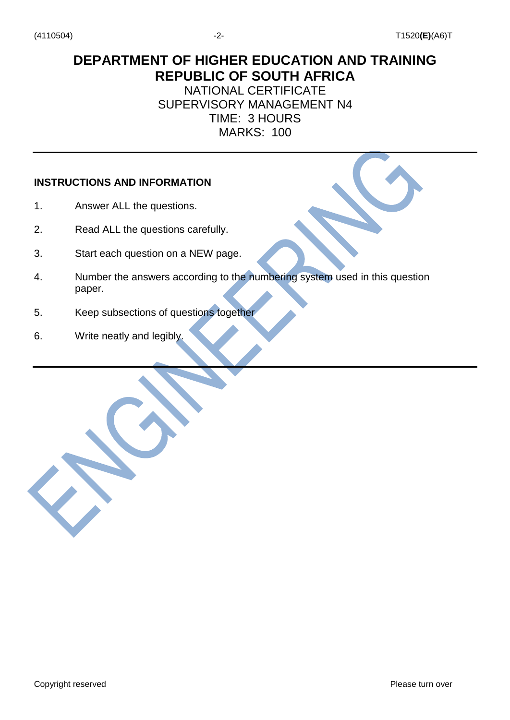# **DEPARTMENT OF HIGHER EDUCATION AND TRAINING REPUBLIC OF SOUTH AFRICA**

## NATIONAL CERTIFICATE SUPERVISORY MANAGEMENT N4 TIME: 3 HOURS MARKS: 100

#### **INSTRUCTIONS AND INFORMATION**

- 1. Answer ALL the questions.
- 2. Read ALL the questions carefully.
- 3. Start each question on a NEW page.
- 4. Number the answers according to the numbering system used in this question paper.
- 5. Keep subsections of questions together
- 6. Write neatly and legibly.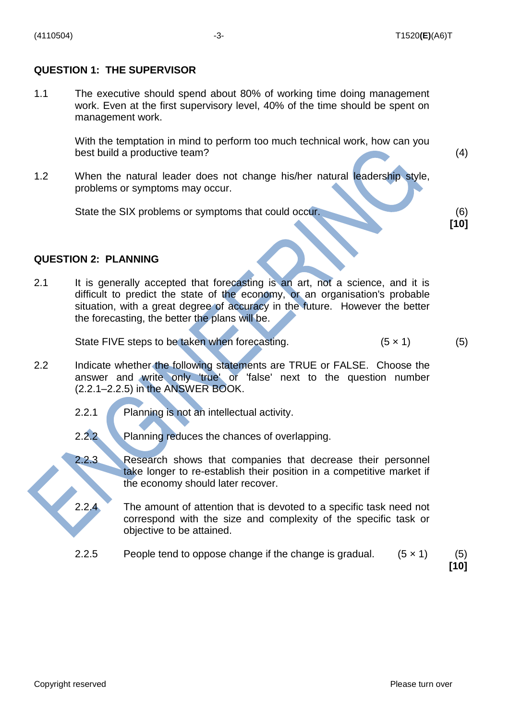#### **QUESTION 1: THE SUPERVISOR**

1.1 The executive should spend about 80% of working time doing management work. Even at the first supervisory level, 40% of the time should be spent on management work.

> With the temptation in mind to perform too much technical work, how can you best build a productive team? (4)

1.2 When the natural leader does not change his/her natural leadership style, problems or symptoms may occur.

State the SIX problems or symptoms that could occur. (6)

#### **QUESTION 2: PLANNING**

2.1 It is generally accepted that forecasting is an art, not a science, and it is difficult to predict the state of the economy, or an organisation's probable situation, with a great degree of accuracy in the future. However the better the forecasting, the better the plans will be.

State FIVE steps to be taken when forecasting.  $(5 \times 1)$  (5)

- 2.2 Indicate whether the following statements are TRUE or FALSE. Choose the answer and write only 'true' or 'false' next to the question number (2.2.1–2.2.5) in the ANSWER BOOK.
	- 2.2.1 Planning is not an intellectual activity.
	- 2.2.2 Planning reduces the chances of overlapping.
	- 2.2.3 Research shows that companies that decrease their personnel take longer to re-establish their position in a competitive market if the economy should later recover.
	- 2.2.4 The amount of attention that is devoted to a specific task need not correspond with the size and complexity of the specific task or objective to be attained.
	- 2.2.5 People tend to oppose change if the change is gradual.  $(5 \times 1)$  (5)

**[10]**

**[10]**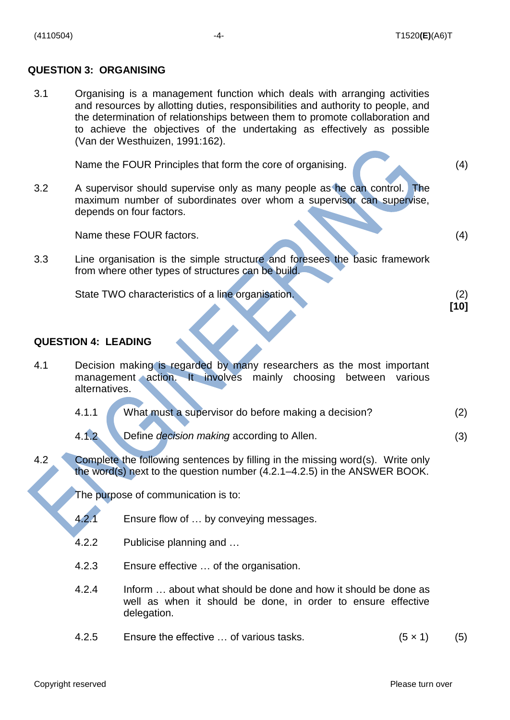#### **QUESTION 3: ORGANISING**

3.1 Organising is a management function which deals with arranging activities and resources by allotting duties, responsibilities and authority to people, and the determination of relationships between them to promote collaboration and to achieve the objectives of the undertaking as effectively as possible (Van der Westhuizen, 1991:162).

Name the FOUR Principles that form the core of organising. (4)

3.2 A supervisor should supervise only as many people as he can control. The maximum number of subordinates over whom a supervisor can supervise, depends on four factors.

Name these FOUR factors. (4)

3.3 Line organisation is the simple structure and foresees the basic framework from where other types of structures can be build.

| State TWO characteristics of a line organisation. |  |  |      |
|---------------------------------------------------|--|--|------|
|                                                   |  |  | [10] |

#### **QUESTION 4: LEADING**

- 4.1 Decision making is regarded by many researchers as the most important management action. It involves mainly choosing between various alternatives.
	- 4.1.1 What must a supervisor do before making a decision? (2)
	- 4.1.2 Define *decision making* according to Allen. (3)
- 4.2 Complete the following sentences by filling in the missing word(s). Write only the word(s) next to the question number (4.2.1–4.2.5) in the ANSWER BOOK.

The purpose of communication is to:

- 4.2.1 Ensure flow of … by conveying messages.
- 4.2.2 Publicise planning and …
- 4.2.3 Ensure effective … of the organisation.
- 4.2.4 Inform … about what should be done and how it should be done as well as when it should be done, in order to ensure effective delegation.
- 4.2.5 Ensure the effective  $\ldots$  of various tasks. (5  $\times$  1) (5)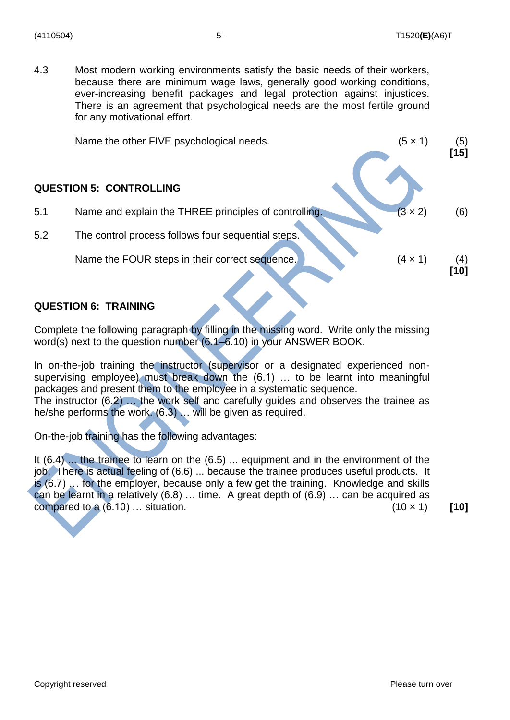(4110504) -5- T1520**(E)**(A6)T

4.3 Most modern working environments satisfy the basic needs of their workers, because there are minimum wage laws, generally good working conditions, ever-increasing benefit packages and legal protection against injustices. There is an agreement that psychological needs are the most fertile ground for any motivational effort.

|     | Name the other FIVE psychological needs.              | $(5 \times 1)$ | (5)<br>$[15]$ |
|-----|-------------------------------------------------------|----------------|---------------|
|     | <b>QUESTION 5: CONTROLLING</b>                        |                |               |
| 5.1 | Name and explain the THREE principles of controlling. | $(3 \times 2)$ | (6)           |
| 5.2 | The control process follows four sequential steps.    |                |               |
|     | Name the FOUR steps in their correct sequence.        | $(4 \times 1)$ | (4)<br>[10]   |

#### **QUESTION 6: TRAINING**

Complete the following paragraph by filling in the missing word. Write only the missing word(s) next to the question number (6.1–6.10) in your ANSWER BOOK.

In on-the-job training the instructor (supervisor or a designated experienced nonsupervising employee) must break down the (6.1) … to be learnt into meaningful packages and present them to the employee in a systematic sequence. The instructor (6.2) … the work self and carefully guides and observes the trainee as he/she performs the work. (6.3) … will be given as required.

On-the-job training has the following advantages:

It (6.4) ... the trainee to learn on the (6.5) ... equipment and in the environment of the job. There is actual feeling of (6.6) ... because the trainee produces useful products. It is (6.7) … for the employer, because only a few get the training. Knowledge and skills can be learnt in a relatively (6.8) … time. A great depth of (6.9) … can be acquired as compared to a  $(6.10)$  ... situation. (10 × 1) [10]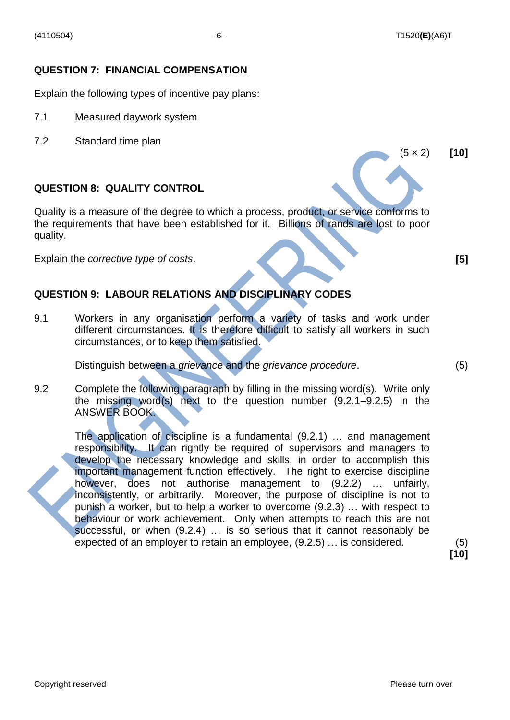(5 × 2) **[10]**

#### **QUESTION 7: FINANCIAL COMPENSATION**

Explain the following types of incentive pay plans:

- 7.1 Measured daywork system
- 7.2 Standard time plan

#### **QUESTION 8: QUALITY CONTROL**

Quality is a measure of the degree to which a process, product, or service conforms to the requirements that have been established for it. Billions of rands are lost to poor quality.

Explain the *corrective type of costs*. **[5]**

### **QUESTION 9: LABOUR RELATIONS AND DISCIPLINARY CODES**

9.1 Workers in any organisation perform a variety of tasks and work under different circumstances. It is therefore difficult to satisfy all workers in such circumstances, or to keep them satisfied.

Distinguish between a *grievance* and the *grievance procedure*. (5)

9.2 Complete the following paragraph by filling in the missing word(s). Write only the missing word(s) next to the question number (9.2.1–9.2.5) in the ANSWER BOOK.

> The application of discipline is a fundamental (9.2.1) … and management responsibility. It can rightly be required of supervisors and managers to develop the necessary knowledge and skills, in order to accomplish this important management function effectively. The right to exercise discipline however, does not authorise management to (9.2.2) … unfairly, inconsistently, or arbitrarily. Moreover, the purpose of discipline is not to punish a worker, but to help a worker to overcome (9.2.3) … with respect to behaviour or work achievement. Only when attempts to reach this are not successful, or when (9.2.4) … is so serious that it cannot reasonably be expected of an employer to retain an employee, (9.2.5) … is considered. (5)

**[10]**